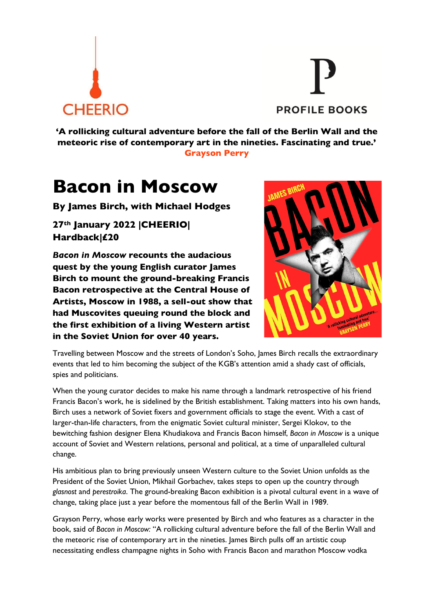



**'A rollicking cultural adventure before the fall of the Berlin Wall and the meteoric rise of contemporary art in the nineties. Fascinating and true.' Grayson Perry**

## **Bacon in Moscow**

**By James Birch, with Michael Hodges**

**27th January 2022 |CHEERIO| Hardback|£20**

*Bacon in Moscow* **recounts the audacious quest by the young English curator James Birch to mount the ground-breaking Francis Bacon retrospective at the Central House of Artists, Moscow in 1988, a sell-out show that had Muscovites queuing round the block and the first exhibition of a living Western artist in the Soviet Union for over 40 years.** 



Travelling between Moscow and the streets of London's Soho, James Birch recalls the extraordinary events that led to him becoming the subject of the KGB's attention amid a shady cast of officials, spies and politicians.

When the young curator decides to make his name through a landmark retrospective of his friend Francis Bacon's work, he is sidelined by the British establishment. Taking matters into his own hands, Birch uses a network of Soviet fixers and government officials to stage the event. With a cast of larger-than-life characters, from the enigmatic Soviet cultural minister, Sergei Klokov, to the bewitching fashion designer Elena Khudiakova and Francis Bacon himself, *Bacon in Moscow* is a unique account of Soviet and Western relations, personal and political, at a time of unparalleled cultural change.

His ambitious plan to bring previously unseen Western culture to the Soviet Union unfolds as the President of the Soviet Union, Mikhail Gorbachev, takes steps to open up the country through *glasnost* and *perestroika*. The ground-breaking Bacon exhibition is a pivotal cultural event in a wave of change, taking place just a year before the momentous fall of the Berlin Wall in 1989.

Grayson Perry, whose early works were presented by Birch and who features as a character in the book, said of *Bacon in Moscow:* "A rollicking cultural adventure before the fall of the Berlin Wall and the meteoric rise of contemporary art in the nineties. James Birch pulls off an artistic coup necessitating endless champagne nights in Soho with Francis Bacon and marathon Moscow vodka